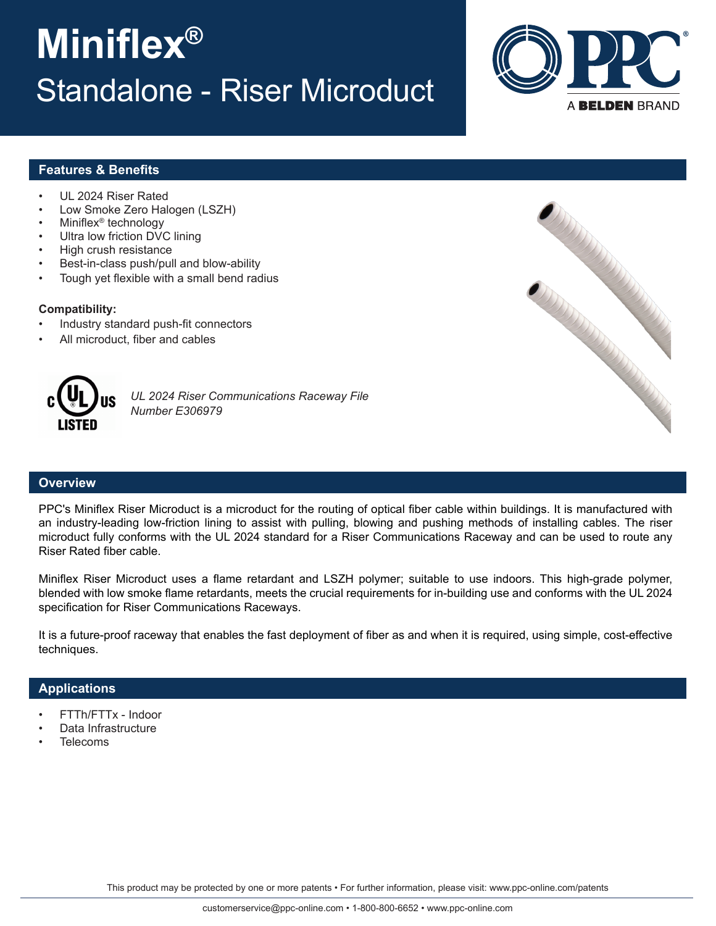# **Miniflex®** Standalone - Riser Microduct



## **Features & Benefits**

- UL 2024 Riser Rated
- Low Smoke Zero Halogen (LSZH)
- Miniflex® technology
- Ultra low friction DVC lining
- High crush resistance
- Best-in-class push/pull and blow-ability
- Tough yet flexible with a small bend radius

#### **Compatibility:**

- Industry standard push-fit connectors
- All microduct, fiber and cables



*UL 2024 Riser Communications Raceway File Number E306979*

## **Overview**

PPC's Miniflex Riser Microduct is a microduct for the routing of optical fiber cable within buildings. It is manufactured with an industry-leading low-friction lining to assist with pulling, blowing and pushing methods of installing cables. The riser microduct fully conforms with the UL 2024 standard for a Riser Communications Raceway and can be used to route any Riser Rated fiber cable.

Miniflex Riser Microduct uses a flame retardant and LSZH polymer; suitable to use indoors. This high-grade polymer, blended with low smoke flame retardants, meets the crucial requirements for in-building use and conforms with the UL 2024 specification for Riser Communications Raceways.

It is a future-proof raceway that enables the fast deployment of fiber as and when it is required, using simple, cost-effective techniques.

### **Applications**

- FTTh/FTTx Indoor
- Data Infrastructure
- **Telecoms**

This product may be protected by one or more patents • For further information, please visit: www.ppc-online.com/patents